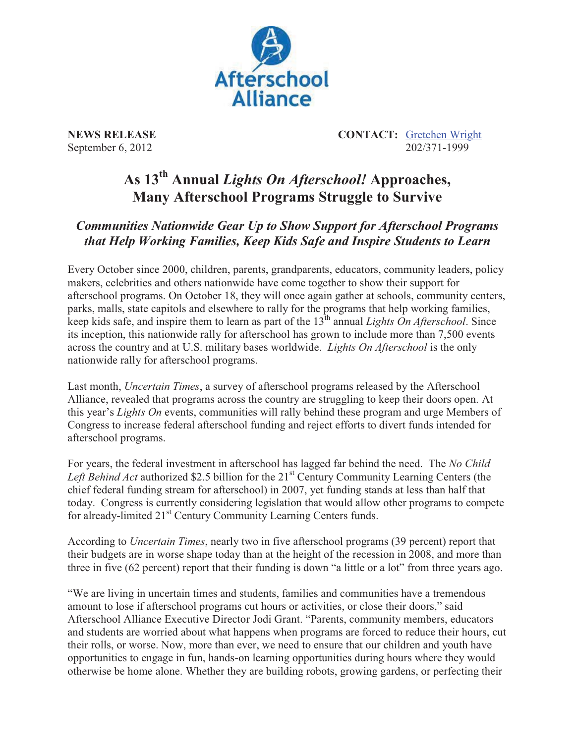

September 6,  $2012$ 

**NEWS RELEASE CONTACT:** <u>Gretchen Wright</u><br>September 6, 2012

## **As 13th Annual** *Lights On Afterschool!* **Approaches, Many Afterschool Programs Struggle to Survive**

## *Communities Nationwide Gear Up to Show Support for Afterschool Programs that Help Working Families, Keep Kids Safe and Inspire Students to Learn*

Every October since 2000, children, parents, grandparents, educators, community leaders, policy makers, celebrities and others nationwide have come together to show their support for afterschool programs. On October 18, they will once again gather at schools, community centers, parks, malls, state capitols and elsewhere to rally for the programs that help working families, keep kids safe, and inspire them to learn as part of the 13<sup>th</sup> annual *Lights On Afterschool*. Since its inception, this nationwide rally for afterschool has grown to include more than 7,500 events across the country and at U.S. military bases worldwide. *Lights On Afterschool* is the only nationwide rally for afterschool programs.

Last month, *Uncertain Times*, a survey of afterschool programs released by the Afterschool Alliance, revealed that programs across the country are struggling to keep their doors open. At this year's *Lights On* events, communities will rally behind these program and urge Members of Congress to increase federal afterschool funding and reject efforts to divert funds intended for afterschool programs.

For years, the federal investment in afterschool has lagged far behind the need. The *No Child*  Left Behind Act authorized \$2.5 billion for the 21<sup>st</sup> Century Community Learning Centers (the chief federal funding stream for afterschool) in 2007, yet funding stands at less than half that today. Congress is currently considering legislation that would allow other programs to compete for already-limited 21<sup>st</sup> Century Community Learning Centers funds.

According to *Uncertain Times*, nearly two in five afterschool programs (39 percent) report that their budgets are in worse shape today than at the height of the recession in 2008, and more than three in five (62 percent) report that their funding is down "a little or a lot" from three years ago.

"We are living in uncertain times and students, families and communities have a tremendous amount to lose if afterschool programs cut hours or activities, or close their doors," said Afterschool Alliance Executive Director Jodi Grant. "Parents, community members, educators and students are worried about what happens when programs are forced to reduce their hours, cut their rolls, or worse. Now, more than ever, we need to ensure that our children and youth have opportunities to engage in fun, hands-on learning opportunities during hours where they would otherwise be home alone. Whether they are building robots, growing gardens, or perfecting their